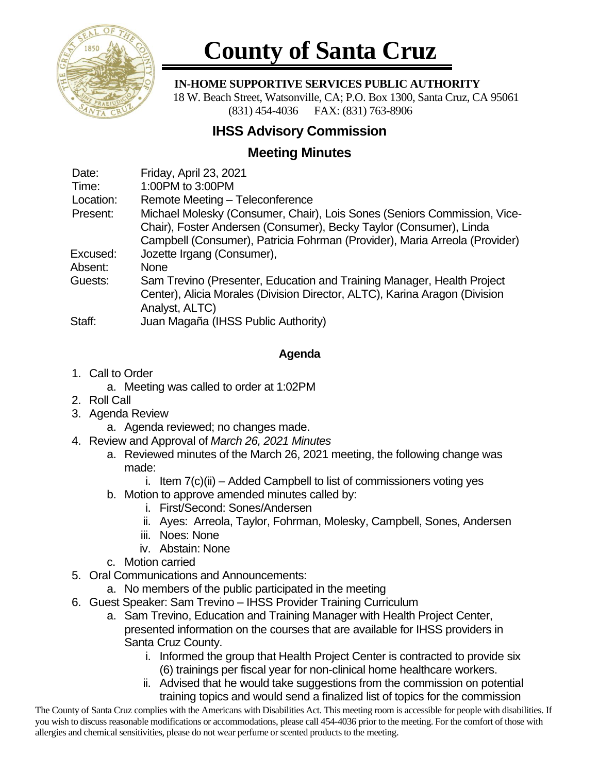

# **County of Santa Cruz**

 **IN-HOME SUPPORTIVE SERVICES PUBLIC AUTHORITY**

 18 W. Beach Street, Watsonville, CA; P.O. Box 1300, Santa Cruz, CA 95061 (831) 454-4036 FAX: (831) 763-8906

## **IHSS Advisory Commission**

### **Meeting Minutes**

| Date:     | Friday, April 23, 2021                                                     |
|-----------|----------------------------------------------------------------------------|
| Time:     | 1:00PM to 3:00PM                                                           |
| Location: | Remote Meeting - Teleconference                                            |
| Present:  | Michael Molesky (Consumer, Chair), Lois Sones (Seniors Commission, Vice-   |
|           | Chair), Foster Andersen (Consumer), Becky Taylor (Consumer), Linda         |
|           | Campbell (Consumer), Patricia Fohrman (Provider), Maria Arreola (Provider) |
| Excused:  | Jozette Irgang (Consumer),                                                 |
| Absent:   | <b>None</b>                                                                |
| Guests:   | Sam Trevino (Presenter, Education and Training Manager, Health Project     |
|           | Center), Alicia Morales (Division Director, ALTC), Karina Aragon (Division |
|           | Analyst, ALTC)                                                             |
| Staff:    | Juan Magaña (IHSS Public Authority)                                        |

#### **Agenda**

- 1. Call to Order
	- a. Meeting was called to order at 1:02PM
- 2. Roll Call
- 3. Agenda Review
	- a. Agenda reviewed; no changes made.
- 4. Review and Approval of *March 26, 2021 Minutes*
	- a. Reviewed minutes of the March 26, 2021 meeting, the following change was made:
		- i. Item  $7(c)(ii)$  Added Campbell to list of commissioners voting yes
	- b. Motion to approve amended minutes called by:
		- i. First/Second: Sones/Andersen
		- ii. Ayes: Arreola, Taylor, Fohrman, Molesky, Campbell, Sones, Andersen
		- iii. Noes: None
		- iv. Abstain: None
	- c. Motion carried
- 5. Oral Communications and Announcements:
	- a. No members of the public participated in the meeting
- 6. Guest Speaker: Sam Trevino IHSS Provider Training Curriculum
	- a. Sam Trevino, Education and Training Manager with Health Project Center, presented information on the courses that are available for IHSS providers in Santa Cruz County.
		- i. Informed the group that Health Project Center is contracted to provide six (6) trainings per fiscal year for non-clinical home healthcare workers.
		- ii. Advised that he would take suggestions from the commission on potential training topics and would send a finalized list of topics for the commission

The County of Santa Cruz complies with the Americans with Disabilities Act. This meeting room is accessible for people with disabilities. If you wish to discuss reasonable modifications or accommodations, please call 454-4036 prior to the meeting. For the comfort of those with allergies and chemical sensitivities, please do not wear perfume or scented products to the meeting.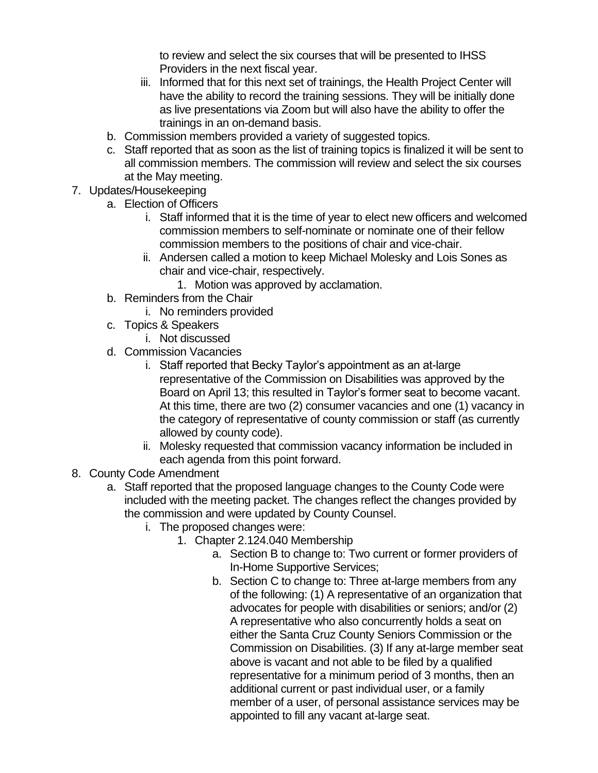to review and select the six courses that will be presented to IHSS Providers in the next fiscal year.

- iii. Informed that for this next set of trainings, the Health Project Center will have the ability to record the training sessions. They will be initially done as live presentations via Zoom but will also have the ability to offer the trainings in an on-demand basis.
- b. Commission members provided a variety of suggested topics.
- c. Staff reported that as soon as the list of training topics is finalized it will be sent to all commission members. The commission will review and select the six courses at the May meeting.
- 7. Updates/Housekeeping
	- a. Election of Officers
		- i. Staff informed that it is the time of year to elect new officers and welcomed commission members to self-nominate or nominate one of their fellow commission members to the positions of chair and vice-chair.
		- ii. Andersen called a motion to keep Michael Molesky and Lois Sones as chair and vice-chair, respectively.
			- 1. Motion was approved by acclamation.
	- b. Reminders from the Chair
		- i. No reminders provided
	- c. Topics & Speakers
		- i. Not discussed
	- d. Commission Vacancies
		- i. Staff reported that Becky Taylor's appointment as an at-large representative of the Commission on Disabilities was approved by the Board on April 13; this resulted in Taylor's former seat to become vacant. At this time, there are two (2) consumer vacancies and one (1) vacancy in the category of representative of county commission or staff (as currently allowed by county code).
		- ii. Molesky requested that commission vacancy information be included in each agenda from this point forward.
- 8. County Code Amendment
	- a. Staff reported that the proposed language changes to the County Code were included with the meeting packet. The changes reflect the changes provided by the commission and were updated by County Counsel.
		- i. The proposed changes were:
			- 1. Chapter 2.124.040 Membership
				- a. Section B to change to: Two current or former providers of In-Home Supportive Services;
				- b. Section C to change to: Three at-large members from any of the following: (1) A representative of an organization that advocates for people with disabilities or seniors; and/or (2) A representative who also concurrently holds a seat on either the Santa Cruz County Seniors Commission or the Commission on Disabilities. (3) If any at-large member seat above is vacant and not able to be filed by a qualified representative for a minimum period of 3 months, then an additional current or past individual user, or a family member of a user, of personal assistance services may be appointed to fill any vacant at-large seat.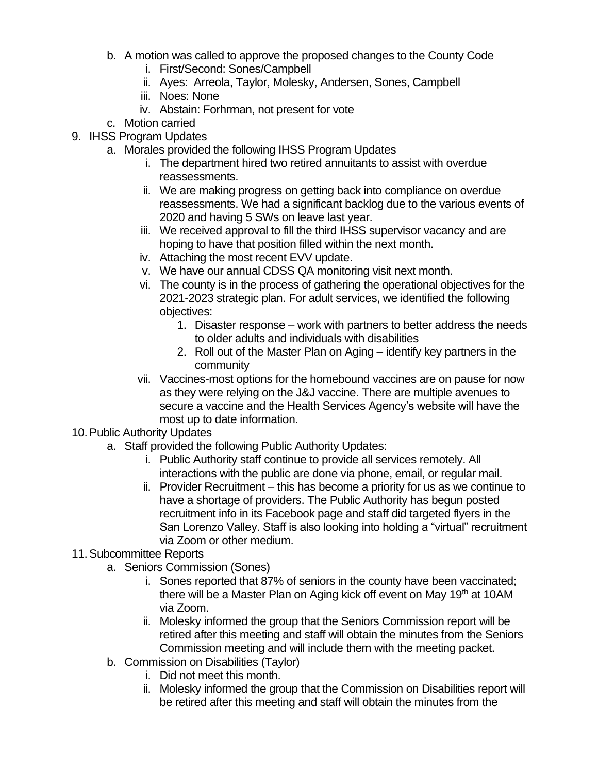- b. A motion was called to approve the proposed changes to the County Code
	- i. First/Second: Sones/Campbell
	- ii. Ayes: Arreola, Taylor, Molesky, Andersen, Sones, Campbell
	- iii. Noes: None
	- iv. Abstain: Forhrman, not present for vote
- c. Motion carried
- 9. IHSS Program Updates
	- a. Morales provided the following IHSS Program Updates
		- i. The department hired two retired annuitants to assist with overdue reassessments.
		- ii. We are making progress on getting back into compliance on overdue reassessments. We had a significant backlog due to the various events of 2020 and having 5 SWs on leave last year.
		- iii. We received approval to fill the third IHSS supervisor vacancy and are hoping to have that position filled within the next month.
		- iv. Attaching the most recent EVV update.
		- v. We have our annual CDSS QA monitoring visit next month.
		- vi. The county is in the process of gathering the operational objectives for the 2021-2023 strategic plan. For adult services, we identified the following objectives:
			- 1. Disaster response work with partners to better address the needs to older adults and individuals with disabilities
			- 2. Roll out of the Master Plan on Aging identify key partners in the community
		- vii. Vaccines-most options for the homebound vaccines are on pause for now as they were relying on the J&J vaccine. There are multiple avenues to secure a vaccine and the Health Services Agency's website will have the most up to date information.
- 10.Public Authority Updates
	- a. Staff provided the following Public Authority Updates:
		- i. Public Authority staff continue to provide all services remotely. All interactions with the public are done via phone, email, or regular mail.
		- ii. Provider Recruitment this has become a priority for us as we continue to have a shortage of providers. The Public Authority has begun posted recruitment info in its Facebook page and staff did targeted flyers in the San Lorenzo Valley. Staff is also looking into holding a "virtual" recruitment via Zoom or other medium.

#### 11.Subcommittee Reports

- a. Seniors Commission (Sones)
	- i. Sones reported that 87% of seniors in the county have been vaccinated; there will be a Master Plan on Aging kick off event on May 19<sup>th</sup> at 10AM via Zoom.
	- ii. Molesky informed the group that the Seniors Commission report will be retired after this meeting and staff will obtain the minutes from the Seniors Commission meeting and will include them with the meeting packet.
- b. Commission on Disabilities (Taylor)
	- i. Did not meet this month.
	- ii. Molesky informed the group that the Commission on Disabilities report will be retired after this meeting and staff will obtain the minutes from the